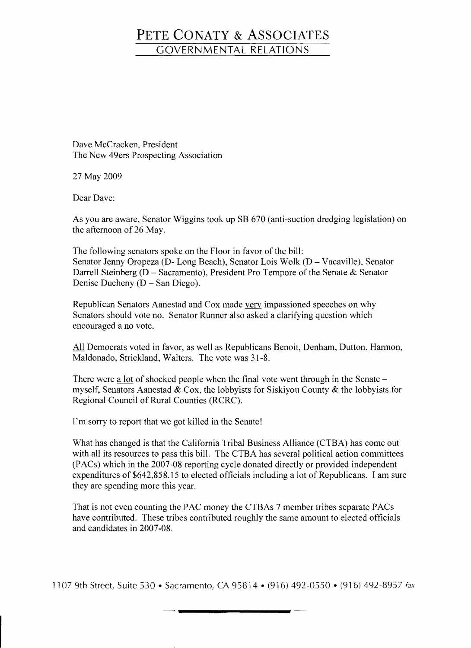## **PETE CONATY & ASSOCIATES**  GOVERNMENTAL RELATIONS

Dave McCracken, President The New 49ers Prospecting Association

27 May 2009

Dear Dave:

As you are aware, Senator Wiggins took up SB 670 (anti-suction dredging legislation) on the afternoon of 26 May.

The following senators spoke on the Floor in favor of the bill: Senator Jenny Oropeza (D- Long Beach), Senator Lois Wolk (D - Vacaville), Senator Darrell Steinberg (D - Sacramento), President Pro Tempore of the Senate & Senator Denise Ducheny ( $D - San Diego$ ).

Republican Senators Aanestad and Cox made very impassioned speeches on why Senators should vote no. Senator Runner also asked a clarifying question which encouraged a no vote.

All Democrats voted in favor, as well as Republicans Benoit, Denham, Dutton, Harmon, Maldonado, Strickland, Walters. The vote was 31-8.

There were a lot of shocked people when the final vote went through in the Senate myself, Senators Aanestad & Cox, the lobbyists for Siskiyou County & the lobbyists for Regional Council of Rural Counties (RCRC).

I'm sorry to report that we got killed in the Senate!

What has changed is that the California Tribal Business Alliance (CTBA) has come out with all its resources to pass this bill. The CTBA has several political action committees (PACs) which in the 2007-08 reporting cycle donated directly or provided independent expenditures of \$642,858.15 to elected officials including a lot of Republicans. I am sure they are spending more this year.

That is not even counting the PAC money the CTBAs 7 member tribes separate PACs have contributed. These tribes contributed roughly the same amount to elected officials and candidates in 2007-08.

1107 9th Street, Suite 530 • Sacramento, CA 95814 • (916) 492-0550 • (916) 492-8957 fax